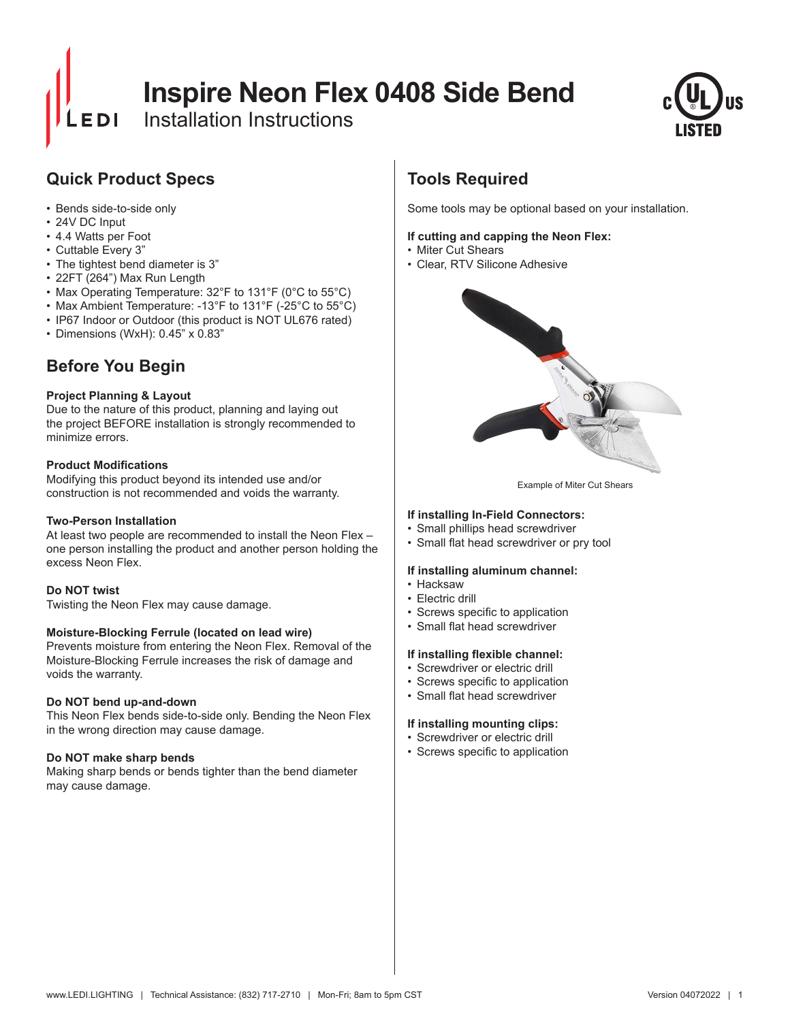# **Inspire Neon Flex 0408 Side Bend**

Installation Instructions



# **Quick Product Specs**

- Bends side-to-side only
- 24V DC Input
- 4.4 Watts per Foot
- Cuttable Every 3"
- The tightest bend diameter is 3"
- 22FT (264") Max Run Length
- Max Operating Temperature: 32°F to 131°F (0°C to 55°C)
- Max Ambient Temperature: -13°F to 131°F (-25°C to 55°C)
- IP67 Indoor or Outdoor (this product is NOT UL676 rated)
- Dimensions (WxH): 0.45" x 0.83"

# **Before You Begin**

### **Project Planning & Layout**

Due to the nature of this product, planning and laying out the project BEFORE installation is strongly recommended to minimize errors.

#### **Product Modifications**

Modifying this product beyond its intended use and/or construction is not recommended and voids the warranty.

### **Two-Person Installation**

At least two people are recommended to install the Neon Flex – one person installing the product and another person holding the excess Neon Flex.

#### **Do NOT twist**

Twisting the Neon Flex may cause damage.

#### **Moisture-Blocking Ferrule (located on lead wire)**

Prevents moisture from entering the Neon Flex. Removal of the Moisture-Blocking Ferrule increases the risk of damage and voids the warranty.

#### **Do NOT bend up-and-down**

This Neon Flex bends side-to-side only. Bending the Neon Flex in the wrong direction may cause damage.

### **Do NOT make sharp bends**

Making sharp bends or bends tighter than the bend diameter may cause damage.

# **Tools Required**

Some tools may be optional based on your installation.

#### **If cutting and capping the Neon Flex:**

- Miter Cut Shears
- Clear, RTV Silicone Adhesive



Example of Miter Cut Shears

#### **If installing In-Field Connectors:**

- Small phillips head screwdriver
- Small flat head screwdriver or pry tool

#### **If installing aluminum channel:**

- Hacksaw
- Electric drill
- • Screws specific to application
- Small flat head screwdriver

#### **If installing flexible channel:**

- Screwdriver or electric drill
- • Screws specific to application
- • Small flat head screwdriver

#### **If installing mounting clips:**

- Screwdriver or electric drill
- • Screws specific to application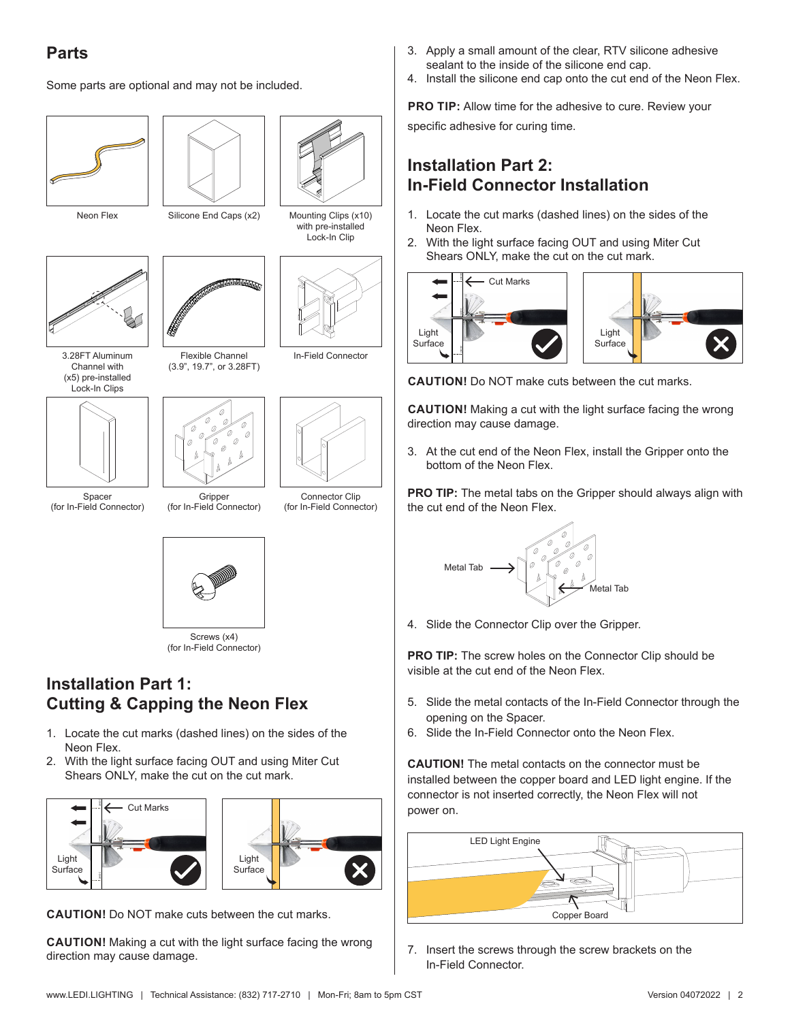# **Parts**

Some parts are optional and may not be included.





Neon Flex Silicone End Caps (x2)



3.28FT Aluminum Channel with (x5) pre-installed Lock-In Clips





(3.9", 19.7", or 3.28FT)

Spacer (for In-Field Connector)

Flexible Channel In-Field Connector

**Gripper** (for In-Field Connector)

Connector Clip (for In-Field Connector)

Mounting Clips (x10) with pre-installed Lock-In Clip



Screws (x4) (for In-Field Connector)

### **Installation Part 1: Cutting & Capping the Neon Flex**

- 1. Locate the cut marks (dashed lines) on the sides of the Neon Flex.
- 2. With the light surface facing OUT and using Miter Cut Shears ONLY, make the cut on the cut mark.





**CAUTION!** Do NOT make cuts between the cut marks.

**CAUTION!** Making a cut with the light surface facing the wrong direction may cause damage.

- 3. Apply a small amount of the clear, RTV silicone adhesive sealant to the inside of the silicone end cap.
- 4. Install the silicone end cap onto the cut end of the Neon Flex.

**PRO TIP:** Allow time for the adhesive to cure. Review your

specific adhesive for curing time.

# **Installation Part 2: In-Field Connector Installation**

- 1. Locate the cut marks (dashed lines) on the sides of the Neon Flex.
- 2. With the light surface facing OUT and using Miter Cut Shears ONLY, make the cut on the cut mark.



**CAUTION!** Do NOT make cuts between the cut marks.

**CAUTION!** Making a cut with the light surface facing the wrong direction may cause damage.

3. At the cut end of the Neon Flex, install the Gripper onto the bottom of the Neon Flex.

**PRO TIP:** The metal tabs on the Gripper should always align with the cut end of the Neon Flex.



4. Slide the Connector Clip over the Gripper.

**PRO TIP:** The screw holes on the Connector Clip should be visible at the cut end of the Neon Flex.

- 5. Slide the metal contacts of the In-Field Connector through the opening on the Spacer.
- 6. Slide the In-Field Connector onto the Neon Flex.

**CAUTION!** The metal contacts on the connector must be installed between the copper board and LED light engine. If the connector is not inserted correctly, the Neon Flex will not power on.



7. Insert the screws through the screw brackets on the In-Field Connector.